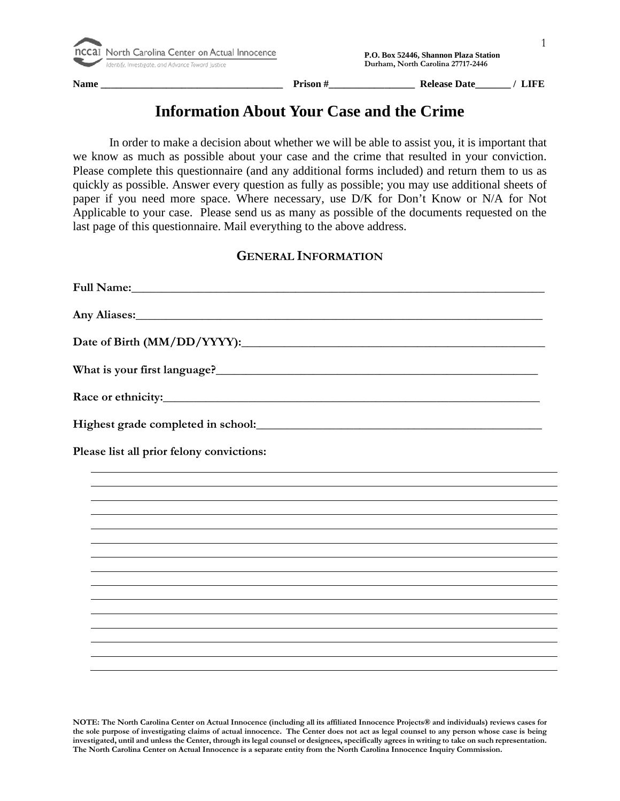**Name \_\_\_\_\_\_\_\_\_\_\_\_\_\_\_\_\_\_\_\_\_\_\_\_\_\_\_\_\_\_\_\_\_\_\_\_ Prison #\_\_\_\_\_\_\_\_\_\_\_\_\_\_\_\_\_ Release Date\_\_\_\_\_\_\_ / LIFE** 

# **Information About Your Case and the Crime**

In order to make a decision about whether we will be able to assist you, it is important that we know as much as possible about your case and the crime that resulted in your conviction. Please complete this questionnaire (and any additional forms included) and return them to us as quickly as possible. Answer every question as fully as possible; you may use additional sheets of paper if you need more space. Where necessary, use D/K for Don't Know or N/A for Not Applicable to your case. Please send us as many as possible of the documents requested on the last page of this questionnaire. Mail everything to the above address.

### **GENERAL INFORMATION**

| Any Aliases: 1988 and 2008 and 2008 and 2008 and 2008 and 2008 and 2008 and 2008 and 2008 and 2008 and 2008 and 2008 and 2008 and 2008 and 2008 and 2008 and 2008 and 2008 and 2008 and 2008 and 2008 and 2008 and 2008 and 20 |
|--------------------------------------------------------------------------------------------------------------------------------------------------------------------------------------------------------------------------------|
|                                                                                                                                                                                                                                |
|                                                                                                                                                                                                                                |
|                                                                                                                                                                                                                                |
|                                                                                                                                                                                                                                |
| Please list all prior felony convictions:                                                                                                                                                                                      |
|                                                                                                                                                                                                                                |
|                                                                                                                                                                                                                                |
|                                                                                                                                                                                                                                |
|                                                                                                                                                                                                                                |
|                                                                                                                                                                                                                                |
|                                                                                                                                                                                                                                |
|                                                                                                                                                                                                                                |
|                                                                                                                                                                                                                                |
|                                                                                                                                                                                                                                |
|                                                                                                                                                                                                                                |
|                                                                                                                                                                                                                                |
|                                                                                                                                                                                                                                |
|                                                                                                                                                                                                                                |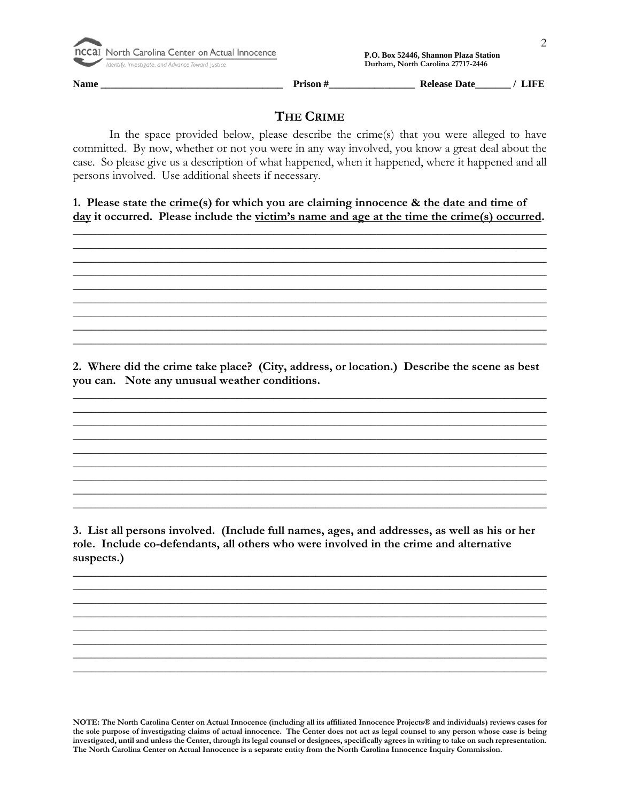

 **P.O. Box 52446, Shannon Plaza Station**<br>  **P.O. Box 52446, Shannon Plaza Station**<br>  **Propertify.** Investigate, and Advance Toward Justice<br> **1990 Purham, North Carolina 27717-2446** 

**Name \_\_\_\_\_\_\_\_\_\_\_\_\_\_\_\_\_\_\_\_\_\_\_\_\_\_\_\_\_\_\_\_\_\_\_\_ Prison #\_\_\_\_\_\_\_\_\_\_\_\_\_\_\_\_\_ Release Date\_\_\_\_\_\_\_ / LIFE** 

## **THE CRIME**

In the space provided below, please describe the crime(s) that you were alleged to have committed. By now, whether or not you were in any way involved, you know a great deal about the case. So please give us a description of what happened, when it happened, where it happened and all persons involved. Use additional sheets if necessary.

**1. Please state the crime(s) for which you are claiming innocence & the date and time of day it occurred. Please include the victim's name and age at the time the crime(s) occurred.**

\_\_\_\_\_\_\_\_\_\_\_\_\_\_\_\_\_\_\_\_\_\_\_\_\_\_\_\_\_\_\_\_\_\_\_\_\_\_\_\_\_\_\_\_\_\_\_\_\_\_\_\_\_\_\_\_\_\_\_\_\_\_\_\_\_\_\_\_\_\_\_\_\_\_\_\_\_\_ \_\_\_\_\_\_\_\_\_\_\_\_\_\_\_\_\_\_\_\_\_\_\_\_\_\_\_\_\_\_\_\_\_\_\_\_\_\_\_\_\_\_\_\_\_\_\_\_\_\_\_\_\_\_\_\_\_\_\_\_\_\_\_\_\_\_\_\_\_\_\_\_\_\_\_\_\_\_ \_\_\_\_\_\_\_\_\_\_\_\_\_\_\_\_\_\_\_\_\_\_\_\_\_\_\_\_\_\_\_\_\_\_\_\_\_\_\_\_\_\_\_\_\_\_\_\_\_\_\_\_\_\_\_\_\_\_\_\_\_\_\_\_\_\_\_\_\_\_\_\_\_\_\_\_\_\_ \_\_\_\_\_\_\_\_\_\_\_\_\_\_\_\_\_\_\_\_\_\_\_\_\_\_\_\_\_\_\_\_\_\_\_\_\_\_\_\_\_\_\_\_\_\_\_\_\_\_\_\_\_\_\_\_\_\_\_\_\_\_\_\_\_\_\_\_\_\_\_\_\_\_\_\_\_\_ \_\_\_\_\_\_\_\_\_\_\_\_\_\_\_\_\_\_\_\_\_\_\_\_\_\_\_\_\_\_\_\_\_\_\_\_\_\_\_\_\_\_\_\_\_\_\_\_\_\_\_\_\_\_\_\_\_\_\_\_\_\_\_\_\_\_\_\_\_\_\_\_\_\_\_\_\_\_ \_\_\_\_\_\_\_\_\_\_\_\_\_\_\_\_\_\_\_\_\_\_\_\_\_\_\_\_\_\_\_\_\_\_\_\_\_\_\_\_\_\_\_\_\_\_\_\_\_\_\_\_\_\_\_\_\_\_\_\_\_\_\_\_\_\_\_\_\_\_\_\_\_\_\_\_\_\_ \_\_\_\_\_\_\_\_\_\_\_\_\_\_\_\_\_\_\_\_\_\_\_\_\_\_\_\_\_\_\_\_\_\_\_\_\_\_\_\_\_\_\_\_\_\_\_\_\_\_\_\_\_\_\_\_\_\_\_\_\_\_\_\_\_\_\_\_\_\_\_\_\_\_\_\_\_\_ \_\_\_\_\_\_\_\_\_\_\_\_\_\_\_\_\_\_\_\_\_\_\_\_\_\_\_\_\_\_\_\_\_\_\_\_\_\_\_\_\_\_\_\_\_\_\_\_\_\_\_\_\_\_\_\_\_\_\_\_\_\_\_\_\_\_\_\_\_\_\_\_\_\_\_\_\_\_ \_\_\_\_\_\_\_\_\_\_\_\_\_\_\_\_\_\_\_\_\_\_\_\_\_\_\_\_\_\_\_\_\_\_\_\_\_\_\_\_\_\_\_\_\_\_\_\_\_\_\_\_\_\_\_\_\_\_\_\_\_\_\_\_\_\_\_\_\_\_\_\_\_\_\_\_\_\_

**2. Where did the crime take place? (City, address, or location.) Describe the scene as best you can. Note any unusual weather conditions.**

\_\_\_\_\_\_\_\_\_\_\_\_\_\_\_\_\_\_\_\_\_\_\_\_\_\_\_\_\_\_\_\_\_\_\_\_\_\_\_\_\_\_\_\_\_\_\_\_\_\_\_\_\_\_\_\_\_\_\_\_\_\_\_\_\_\_\_\_\_\_\_\_\_\_\_\_\_\_ \_\_\_\_\_\_\_\_\_\_\_\_\_\_\_\_\_\_\_\_\_\_\_\_\_\_\_\_\_\_\_\_\_\_\_\_\_\_\_\_\_\_\_\_\_\_\_\_\_\_\_\_\_\_\_\_\_\_\_\_\_\_\_\_\_\_\_\_\_\_\_\_\_\_\_\_\_\_ \_\_\_\_\_\_\_\_\_\_\_\_\_\_\_\_\_\_\_\_\_\_\_\_\_\_\_\_\_\_\_\_\_\_\_\_\_\_\_\_\_\_\_\_\_\_\_\_\_\_\_\_\_\_\_\_\_\_\_\_\_\_\_\_\_\_\_\_\_\_\_\_\_\_\_\_\_\_ \_\_\_\_\_\_\_\_\_\_\_\_\_\_\_\_\_\_\_\_\_\_\_\_\_\_\_\_\_\_\_\_\_\_\_\_\_\_\_\_\_\_\_\_\_\_\_\_\_\_\_\_\_\_\_\_\_\_\_\_\_\_\_\_\_\_\_\_\_\_\_\_\_\_\_\_\_\_ \_\_\_\_\_\_\_\_\_\_\_\_\_\_\_\_\_\_\_\_\_\_\_\_\_\_\_\_\_\_\_\_\_\_\_\_\_\_\_\_\_\_\_\_\_\_\_\_\_\_\_\_\_\_\_\_\_\_\_\_\_\_\_\_\_\_\_\_\_\_\_\_\_\_\_\_\_\_ \_\_\_\_\_\_\_\_\_\_\_\_\_\_\_\_\_\_\_\_\_\_\_\_\_\_\_\_\_\_\_\_\_\_\_\_\_\_\_\_\_\_\_\_\_\_\_\_\_\_\_\_\_\_\_\_\_\_\_\_\_\_\_\_\_\_\_\_\_\_\_\_\_\_\_\_\_\_ \_\_\_\_\_\_\_\_\_\_\_\_\_\_\_\_\_\_\_\_\_\_\_\_\_\_\_\_\_\_\_\_\_\_\_\_\_\_\_\_\_\_\_\_\_\_\_\_\_\_\_\_\_\_\_\_\_\_\_\_\_\_\_\_\_\_\_\_\_\_\_\_\_\_\_\_\_\_ \_\_\_\_\_\_\_\_\_\_\_\_\_\_\_\_\_\_\_\_\_\_\_\_\_\_\_\_\_\_\_\_\_\_\_\_\_\_\_\_\_\_\_\_\_\_\_\_\_\_\_\_\_\_\_\_\_\_\_\_\_\_\_\_\_\_\_\_\_\_\_\_\_\_\_\_\_\_ \_\_\_\_\_\_\_\_\_\_\_\_\_\_\_\_\_\_\_\_\_\_\_\_\_\_\_\_\_\_\_\_\_\_\_\_\_\_\_\_\_\_\_\_\_\_\_\_\_\_\_\_\_\_\_\_\_\_\_\_\_\_\_\_\_\_\_\_\_\_\_\_\_\_\_\_\_\_

**3. List all persons involved. (Include full names, ages, and addresses, as well as his or her role. Include co-defendants, all others who were involved in the crime and alternative suspects.)**

\_\_\_\_\_\_\_\_\_\_\_\_\_\_\_\_\_\_\_\_\_\_\_\_\_\_\_\_\_\_\_\_\_\_\_\_\_\_\_\_\_\_\_\_\_\_\_\_\_\_\_\_\_\_\_\_\_\_\_\_\_\_\_\_\_\_\_\_\_\_\_\_\_\_\_\_\_\_ \_\_\_\_\_\_\_\_\_\_\_\_\_\_\_\_\_\_\_\_\_\_\_\_\_\_\_\_\_\_\_\_\_\_\_\_\_\_\_\_\_\_\_\_\_\_\_\_\_\_\_\_\_\_\_\_\_\_\_\_\_\_\_\_\_\_\_\_\_\_\_\_\_\_\_\_\_\_ \_\_\_\_\_\_\_\_\_\_\_\_\_\_\_\_\_\_\_\_\_\_\_\_\_\_\_\_\_\_\_\_\_\_\_\_\_\_\_\_\_\_\_\_\_\_\_\_\_\_\_\_\_\_\_\_\_\_\_\_\_\_\_\_\_\_\_\_\_\_\_\_\_\_\_\_\_\_ \_\_\_\_\_\_\_\_\_\_\_\_\_\_\_\_\_\_\_\_\_\_\_\_\_\_\_\_\_\_\_\_\_\_\_\_\_\_\_\_\_\_\_\_\_\_\_\_\_\_\_\_\_\_\_\_\_\_\_\_\_\_\_\_\_\_\_\_\_\_\_\_\_\_\_\_\_\_ \_\_\_\_\_\_\_\_\_\_\_\_\_\_\_\_\_\_\_\_\_\_\_\_\_\_\_\_\_\_\_\_\_\_\_\_\_\_\_\_\_\_\_\_\_\_\_\_\_\_\_\_\_\_\_\_\_\_\_\_\_\_\_\_\_\_\_\_\_\_\_\_\_\_\_\_\_\_ \_\_\_\_\_\_\_\_\_\_\_\_\_\_\_\_\_\_\_\_\_\_\_\_\_\_\_\_\_\_\_\_\_\_\_\_\_\_\_\_\_\_\_\_\_\_\_\_\_\_\_\_\_\_\_\_\_\_\_\_\_\_\_\_\_\_\_\_\_\_\_\_\_\_\_\_\_\_ \_\_\_\_\_\_\_\_\_\_\_\_\_\_\_\_\_\_\_\_\_\_\_\_\_\_\_\_\_\_\_\_\_\_\_\_\_\_\_\_\_\_\_\_\_\_\_\_\_\_\_\_\_\_\_\_\_\_\_\_\_\_\_\_\_\_\_\_\_\_\_\_\_\_\_\_\_\_ \_\_\_\_\_\_\_\_\_\_\_\_\_\_\_\_\_\_\_\_\_\_\_\_\_\_\_\_\_\_\_\_\_\_\_\_\_\_\_\_\_\_\_\_\_\_\_\_\_\_\_\_\_\_\_\_\_\_\_\_\_\_\_\_\_\_\_\_\_\_\_\_\_\_\_\_\_\_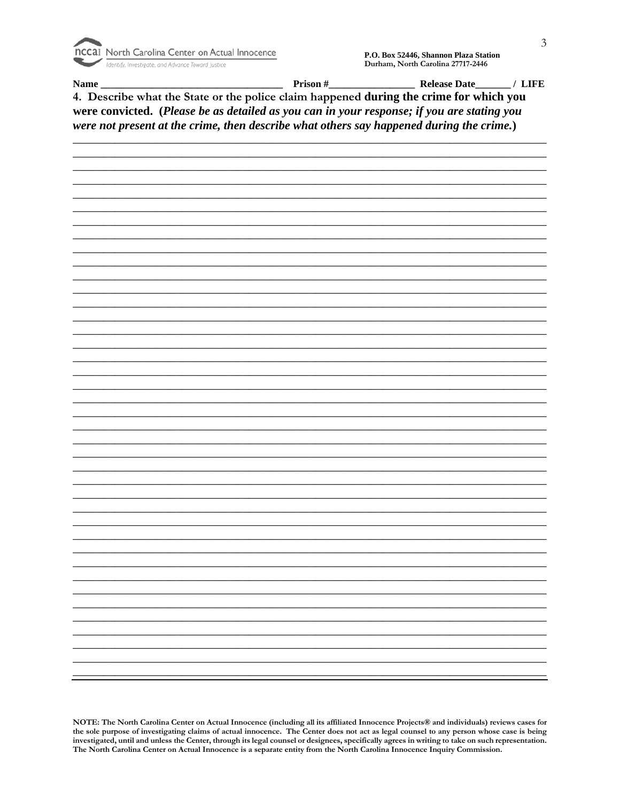

Name\_

 $\frac{1}{\sqrt{1-\frac{1}{2}}}\$  Prison #

Release Date<br>
<u>LIFE</u>

4. Describe what the State or the police claim happened during the crime for which you were convicted. (Please be as detailed as you can in your response; if you are stating you were not present at the crime, then describe what others say happened during the crime.)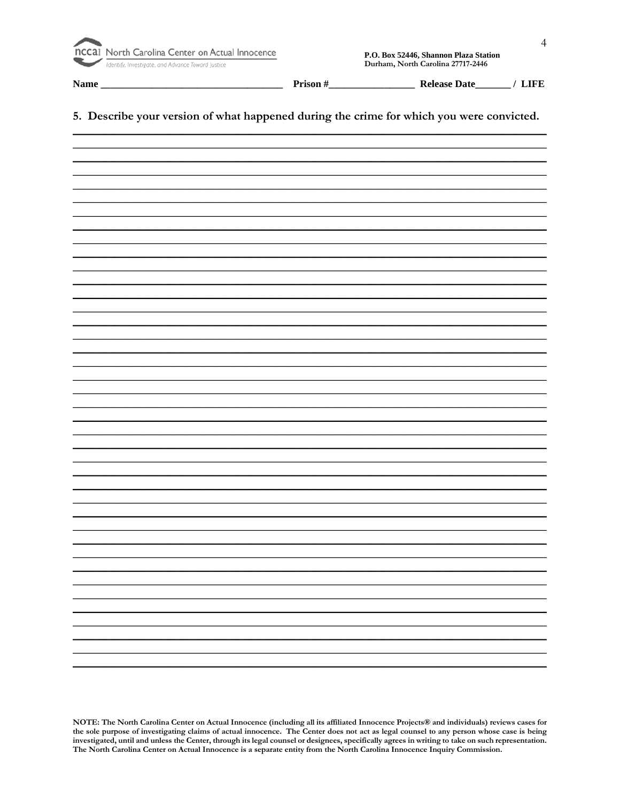

Name\_

Prison  $#$ <sub>\_\_\_</sub>

Release Date<sub>\_\_\_\_\_\_</sub>/ LIFE

#### 5. Describe your version of what happened during the crime for which you were convicted.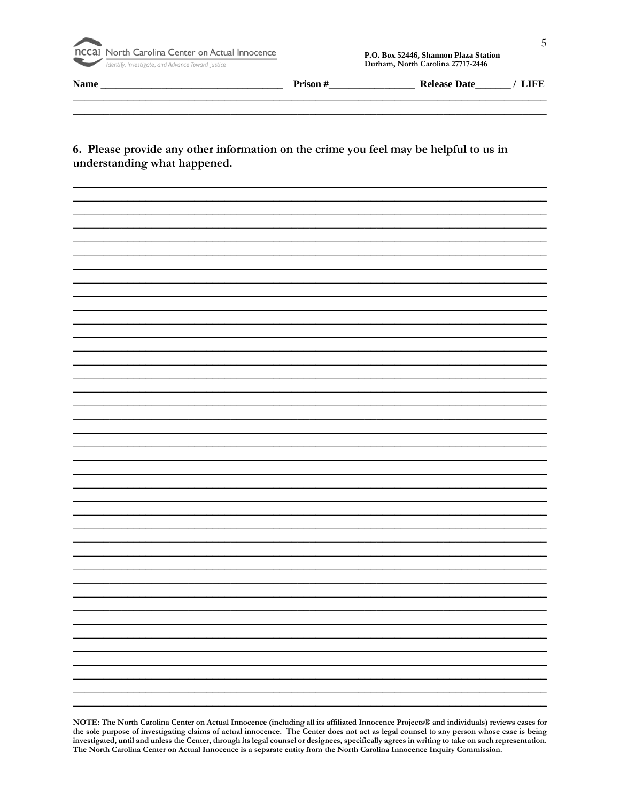

| $ -$<br>тчаши<br>and the property of the control of<br>__________ | .<br>.<br>____<br><b>Service Contract Contract Contract</b><br>___ | $\mathbf{r}$<br>___ |  |
|-------------------------------------------------------------------|--------------------------------------------------------------------|---------------------|--|
|                                                                   |                                                                    |                     |  |

#### 6. Please provide any other information on the crime you feel may be helpful to us in understanding what happened.

NOTE: The North Carolina Center on Actual Innocence (including all its affiliated Innocence Projects® and individuals) reviews cases for the sole purpose of investigating claims of actual innocence. The Center does not act as legal counsel to any person whose case is being investigated, until and unless the Center, through its legal counsel or designees, specifically agrees in writing to take on such representation. The North Carolina Center on Actual Innocence is a separate entity from the North Carolina Innocence Inquiry Commission.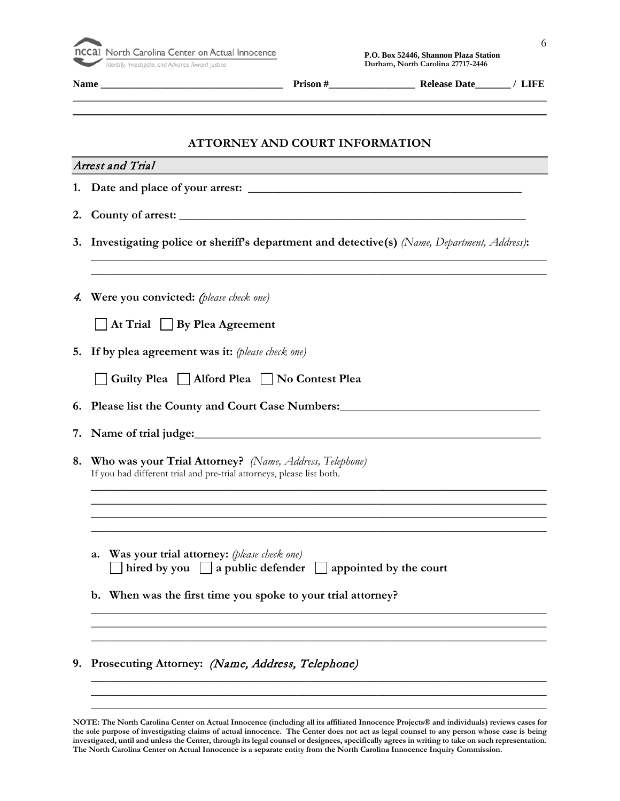

|    | ATTORNEY AND COURT INFORMATION<br><b>Arrest and Trial</b>                                                                                                                          |
|----|------------------------------------------------------------------------------------------------------------------------------------------------------------------------------------|
|    |                                                                                                                                                                                    |
|    |                                                                                                                                                                                    |
|    | 3. Investigating police or sheriff's department and detective(s) (Name, Department, Address):<br>,我们也不能在这里的人,我们也不能在这里的人,我们也不能在这里的人,我们也不能在这里的人,我们也不能在这里的人,我们也不能在这里的人,我们也不能在这里的人,我们也 |
| 4. | Were you convicted: (please check one)                                                                                                                                             |
|    | $\Box$ At Trial $\Box$ By Plea Agreement                                                                                                                                           |
| 5. | If by plea agreement was it: (please check one)                                                                                                                                    |
|    | Guilty Plea   Alford Plea   No Contest Plea                                                                                                                                        |
| 6. | Please list the County and Court Case Numbers: Manual County and Court Case Numbers:                                                                                               |
| 7. |                                                                                                                                                                                    |
| 8. | Who was your Trial Attorney? (Name, Address, Telephone)<br>If you had different trial and pre-trial attorneys, please list both.                                                   |
|    |                                                                                                                                                                                    |
|    | Was your trial attorney: (please check one)<br>a.<br>hired by you $\vert$ a public defender $\vert$<br>appointed by the court                                                      |
|    | b. When was the first time you spoke to your trial attorney?                                                                                                                       |
|    |                                                                                                                                                                                    |
| 9. | Prosecuting Attorney: (Name, Address, Telephone)                                                                                                                                   |

\_\_\_\_\_\_\_\_\_\_\_\_\_\_\_\_\_\_\_\_\_\_\_\_\_\_\_\_\_\_\_\_\_\_\_\_\_\_\_\_\_\_\_\_\_\_\_\_\_\_\_\_\_\_\_\_\_\_\_\_\_\_\_\_\_\_\_\_\_\_\_\_\_\_\_ \_\_\_\_\_\_\_\_\_\_\_\_\_\_\_\_\_\_\_\_\_\_\_\_\_\_\_\_\_\_\_\_\_\_\_\_\_\_\_\_\_\_\_\_\_\_\_\_\_\_\_\_\_\_\_\_\_\_\_\_\_\_\_\_\_\_\_\_\_\_\_\_\_\_\_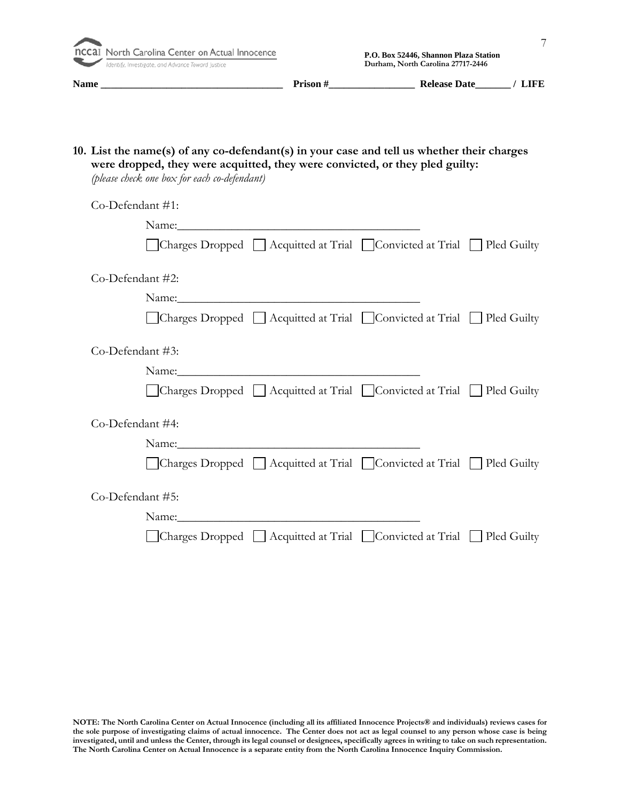**Identify, Investigate, and Advance Toward Justice** 

**Name \_\_\_\_\_\_\_\_\_\_\_\_\_\_\_\_\_\_\_\_\_\_\_\_\_\_\_\_\_\_\_\_\_\_\_\_ Prison #\_\_\_\_\_\_\_\_\_\_\_\_\_\_\_\_\_ Release Date\_\_\_\_\_\_\_ / LIFE** 

**10. List the name(s) of any co-defendant(s) in your case and tell us whether their charges were dropped, they were acquitted, they were convicted, or they pled guilty:**

*(please check one box for each co-defendant)*

| Co-Defendant #1:            |                                                                                               |  |
|-----------------------------|-----------------------------------------------------------------------------------------------|--|
|                             |                                                                                               |  |
|                             | $\Box$ Charges Dropped $\Box$ Acquitted at Trial $\Box$ Convicted at Trial $\Box$ Pled Guilty |  |
| Co-Defendant #2:            |                                                                                               |  |
|                             |                                                                                               |  |
|                             | △ Charges Dropped △ Acquitted at Trial △ Convicted at Trial △ Pled Guilty                     |  |
| $Co\text{-Defendant} \#3$ : |                                                                                               |  |
|                             |                                                                                               |  |
|                             | Charges Dropped   Acquitted at Trial   Convicted at Trial   Pled Guilty                       |  |
| Co-Defendant #4:            |                                                                                               |  |
|                             |                                                                                               |  |
|                             | $\Box$ Charges Dropped $\Box$ Acquitted at Trial $\Box$ Convicted at Trial $\Box$ Pled Guilty |  |
| Co-Defendant #5:            |                                                                                               |  |
|                             |                                                                                               |  |
|                             | $\Box$ Charges Dropped $\Box$ Acquitted at Trial $\Box$ Convicted at Trial $\Box$ Pled Guilty |  |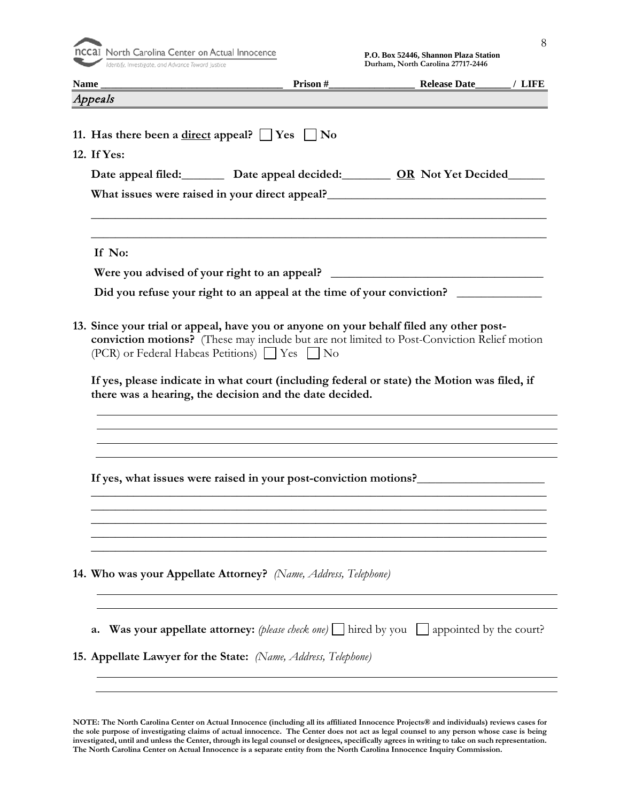

|                                                                                                                                          |                                                         | Release Date______/ LIFE                                                                                                                                                                   |
|------------------------------------------------------------------------------------------------------------------------------------------|---------------------------------------------------------|--------------------------------------------------------------------------------------------------------------------------------------------------------------------------------------------|
| Appeals                                                                                                                                  |                                                         |                                                                                                                                                                                            |
| 11. Has there been a <u>direct</u> appeal? $\Box$ Yes $\Box$ No<br>12. If Yes:                                                           |                                                         |                                                                                                                                                                                            |
|                                                                                                                                          |                                                         | Date appeal filed: Date appeal decided: 0R Not Yet Decided                                                                                                                                 |
|                                                                                                                                          |                                                         | What issues were raised in your direct appeal?<br><u> What issues were raised in your direct appeal?</u>                                                                                   |
| If No:                                                                                                                                   |                                                         |                                                                                                                                                                                            |
|                                                                                                                                          |                                                         | Were you advised of your right to an appeal? ___________________________________                                                                                                           |
|                                                                                                                                          |                                                         | Did you refuse your right to an appeal at the time of your conviction?                                                                                                                     |
| 13. Since your trial or appeal, have you or anyone on your behalf filed any other post-<br>(PCR) or Federal Habeas Petitions) ■ Yes ■ No | there was a hearing, the decision and the date decided. | conviction motions? (These may include but are not limited to Post-Conviction Relief motion<br>If yes, please indicate in what court (including federal or state) the Motion was filed, if |
|                                                                                                                                          |                                                         |                                                                                                                                                                                            |
|                                                                                                                                          |                                                         |                                                                                                                                                                                            |
|                                                                                                                                          |                                                         | If yes, what issues were raised in your post-conviction motions?                                                                                                                           |
|                                                                                                                                          |                                                         |                                                                                                                                                                                            |
| 14. Who was your Appellate Attorney? (Name, Address, Telephone)                                                                          |                                                         |                                                                                                                                                                                            |
| a.                                                                                                                                       |                                                         | <b>Was your appellate attorney:</b> (please check one) $\Box$ hired by you $\Box$ appointed by the court?                                                                                  |
| 15. Appellate Lawyer for the State: (Name, Address, Telephone)                                                                           |                                                         |                                                                                                                                                                                            |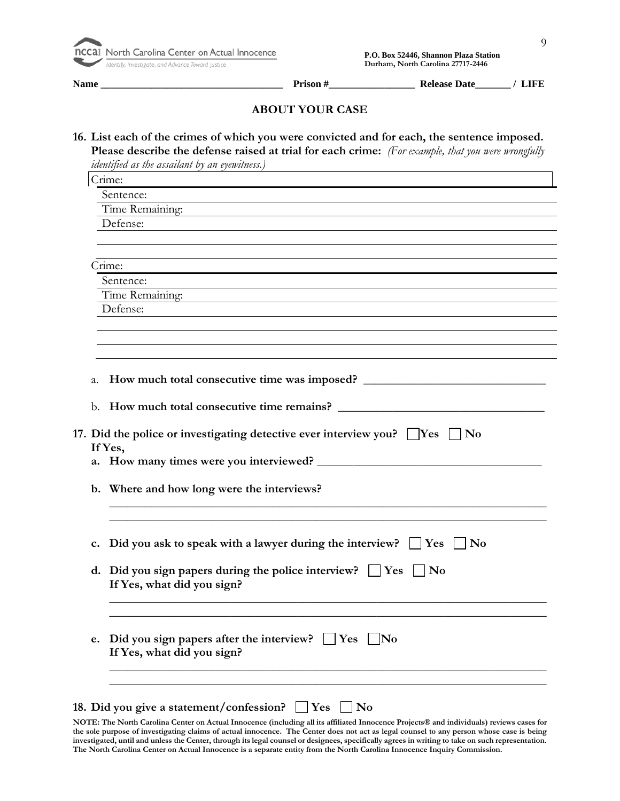| nccal North Carolina Center on Actual Inno        |
|---------------------------------------------------|
| Identify, Investigate, and Advance Toward Justice |

**Name \_\_\_\_\_\_\_\_\_\_\_\_\_\_\_\_\_\_\_\_\_\_\_\_\_\_\_\_\_\_\_\_\_\_\_\_ Prison #\_\_\_\_\_\_\_\_\_\_\_\_\_\_\_\_\_ Release Date\_\_\_\_\_\_\_ / LIFE** 

#### **ABOUT YOUR CASE**

**16. List each of the crimes of which you were convicted and for each, the sentence imposed. Please describe the defense raised at trial for each crime:** *(For example, that you were wrongfully* 

*identified as the assailant by an eyewitness.)* Crime: Sentence: Time Remaining: Defense: Crime: Sentence: Time Remaining: Defense: a. How much total consecutive time was imposed? \_\_\_\_\_\_\_\_\_\_\_\_\_\_\_\_\_\_\_\_\_\_\_\_\_\_\_\_\_\_\_\_\_\_ b. **How much total consecutive time remains? 17.** Did the police or investigating detective ever interview you?  $\Box$  Yes  $\Box$  No **If Yes, a. How many times were you interviewed? \_\_\_\_\_\_\_\_\_\_\_\_\_\_\_\_\_\_\_\_\_\_\_\_\_\_\_\_\_\_\_\_\_\_\_\_\_ b. Where and how long were the interviews? \_\_\_\_\_\_\_\_\_\_\_\_\_\_\_\_\_\_\_\_\_\_\_\_\_\_\_\_\_\_\_\_\_\_\_\_\_\_\_\_\_\_\_\_\_\_\_\_\_\_\_\_\_\_\_\_\_\_\_\_\_\_\_\_\_\_\_\_\_\_\_\_ \_\_\_\_\_\_\_\_\_\_\_\_\_\_\_\_\_\_\_\_\_\_\_\_\_\_\_\_\_\_\_\_\_\_\_\_\_\_\_\_\_\_\_\_\_\_\_\_\_\_\_\_\_\_\_\_\_\_\_\_\_\_\_\_\_\_\_\_\_\_\_\_ c.** Did you ask to speak with a lawyer during the interview?  $\Box$  Yes  $\Box$  No **d.** Did you sign papers during the police interview?  $\Box$  Yes  $\Box$  No **If Yes, what did you sign? \_\_\_\_\_\_\_\_\_\_\_\_\_\_\_\_\_\_\_\_\_\_\_\_\_\_\_\_\_\_\_\_\_\_\_\_\_\_\_\_\_\_\_\_\_\_\_\_\_\_\_\_\_\_\_\_\_\_\_\_\_\_\_\_\_\_\_\_\_\_\_\_ \_\_\_\_\_\_\_\_\_\_\_\_\_\_\_\_\_\_\_\_\_\_\_\_\_\_\_\_\_\_\_\_\_\_\_\_\_\_\_\_\_\_\_\_\_\_\_\_\_\_\_\_\_\_\_\_\_\_\_\_\_\_\_\_\_\_\_\_\_\_\_\_ e.** Did you sign papers after the interview?  $\Box$  Yes  $\Box$  No **If Yes, what did you sign? \_\_\_\_\_\_\_\_\_\_\_\_\_\_\_\_\_\_\_\_\_\_\_\_\_\_\_\_\_\_\_\_\_\_\_\_\_\_\_\_\_\_\_\_\_\_\_\_\_\_\_\_\_\_\_\_\_\_\_\_\_\_\_\_\_\_\_\_\_\_\_\_ \_\_\_\_\_\_\_\_\_\_\_\_\_\_\_\_\_\_\_\_\_\_\_\_\_\_\_\_\_\_\_\_\_\_\_\_\_\_\_\_\_\_\_\_\_\_\_\_\_\_\_\_\_\_\_\_\_\_\_\_\_\_\_\_\_\_\_\_\_\_\_\_ 18.** Did you give a statement/confession? T Yes No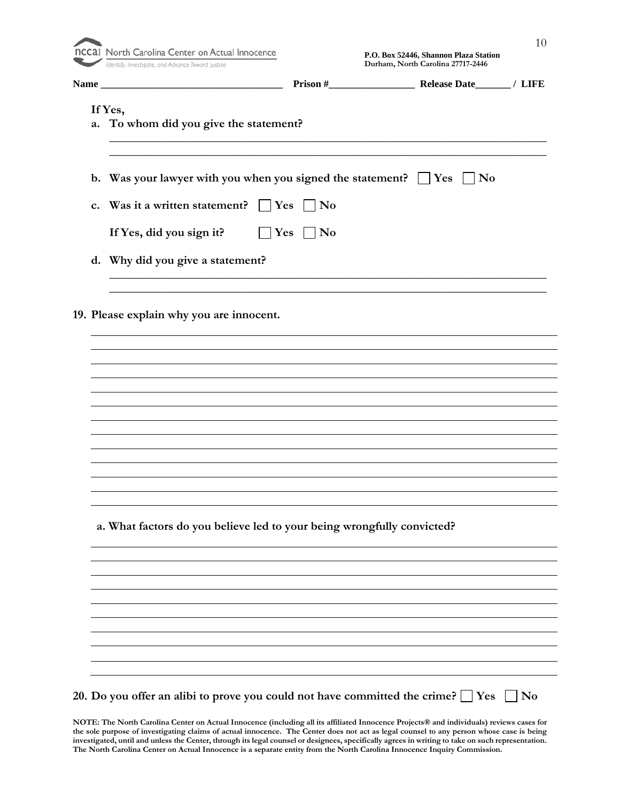| P.O. Box 52446, Shannon Plaza Station<br>Identify, Investigate, and Advance Toward Justice<br>Durham, North Carolina 27717-2446 |
|---------------------------------------------------------------------------------------------------------------------------------|
|                                                                                                                                 |
| If Yes,                                                                                                                         |
| a. To whom did you give the statement?                                                                                          |
|                                                                                                                                 |
| b. Was your lawyer with you when you signed the statement? $\Box$ Yes $\Box$ No                                                 |
| c. Was it a written statement? $\vert$ Yes<br>$\vert$ No                                                                        |
| If Yes, did you sign it? $\Box$ Yes<br>$ $ No                                                                                   |
| d. Why did you give a statement?                                                                                                |
|                                                                                                                                 |
|                                                                                                                                 |
| 19. Please explain why you are innocent.                                                                                        |
|                                                                                                                                 |
|                                                                                                                                 |
|                                                                                                                                 |
|                                                                                                                                 |
|                                                                                                                                 |
|                                                                                                                                 |
|                                                                                                                                 |
|                                                                                                                                 |
|                                                                                                                                 |
|                                                                                                                                 |
|                                                                                                                                 |
| a. What factors do you believe led to your being wrongfully convicted?                                                          |
|                                                                                                                                 |
|                                                                                                                                 |
|                                                                                                                                 |
|                                                                                                                                 |
|                                                                                                                                 |
|                                                                                                                                 |
|                                                                                                                                 |
|                                                                                                                                 |
|                                                                                                                                 |
|                                                                                                                                 |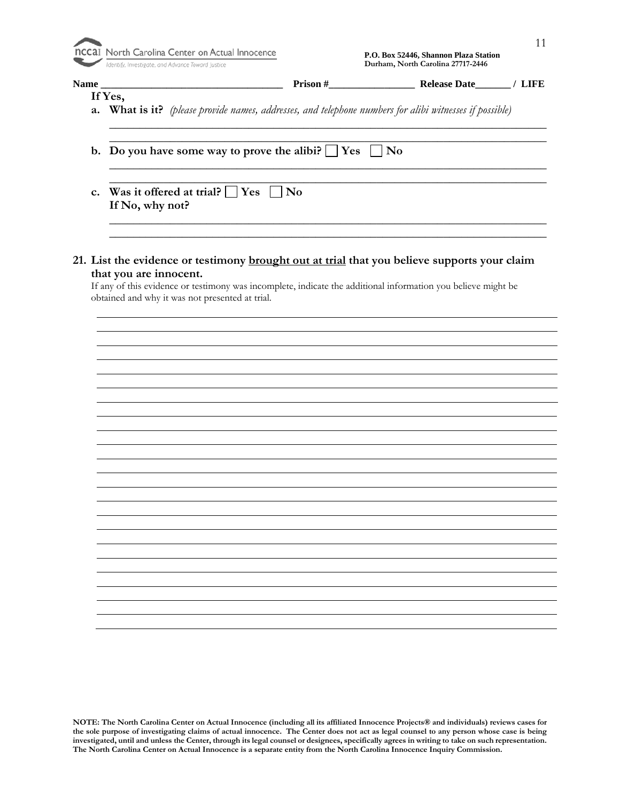| Identify, Investigate, and Advance Toward Justice |                                                                      |
|---------------------------------------------------|----------------------------------------------------------------------|
| <b>Name</b>                                       | Prison #                                                             |
| If Yes,                                           |                                                                      |
|                                                   | <b>a.</b> What is it? (please provide names, addresses, and telephon |

| Was it offered at trial? $\Box$ Yes $\Box$ No |
|-----------------------------------------------|
| If No, why not?                               |
|                                               |

| that you are innocent.                                                                                        |  |  |  |
|---------------------------------------------------------------------------------------------------------------|--|--|--|
| If any of this evidence or testimony was incomplete, indicate the additional information you believe might be |  |  |  |
| obtained and why it was not presented at trial.                                                               |  |  |  |

 **P.O. Box 52446, Shannon Plaza Station Durham, North Carolina 27717-2446**

**Name \_\_\_\_\_\_\_\_\_\_\_\_\_\_\_\_\_\_\_\_\_\_\_\_\_\_\_\_\_\_\_\_\_\_\_\_ Prison #\_\_\_\_\_\_\_\_\_\_\_\_\_\_\_\_\_ Release Date\_\_\_\_\_\_\_ / LIFE**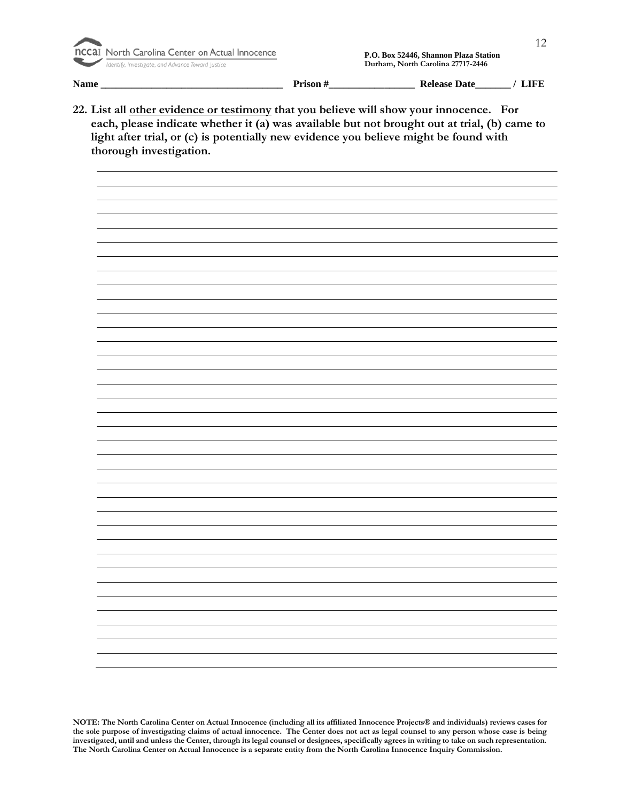

| Name | $\mathbf{a} \cdot \mathbf{a}$<br>. | Date<br>000<br>- IS F<br>и |  |
|------|------------------------------------|----------------------------|--|
|      |                                    |                            |  |

**22. List all other evidence or testimony that you believe will show your innocence. For each, please indicate whether it (a) was available but not brought out at trial, (b) came to light after trial, or (c) is potentially new evidence you believe might be found with thorough investigation.**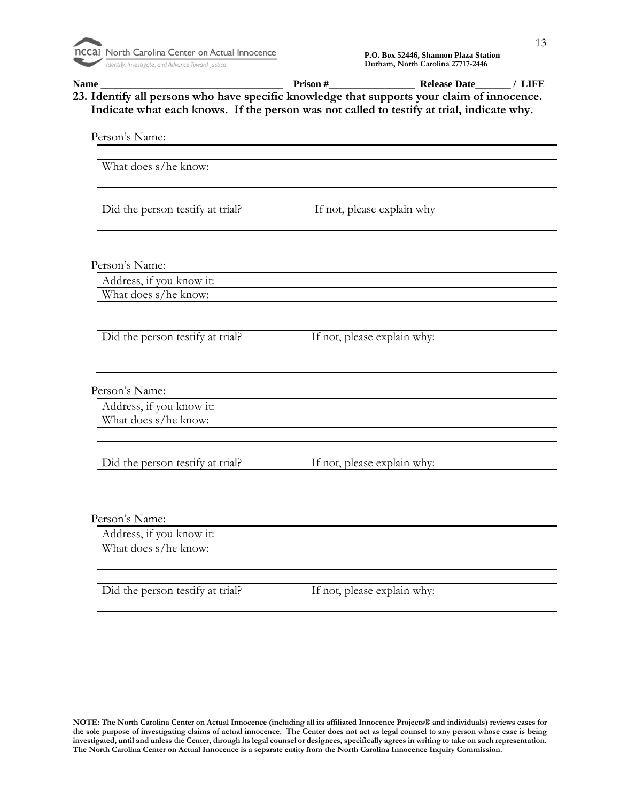| Indicate what each knows. If the person was not called to testify at trial, indicate why. |                             |  |
|-------------------------------------------------------------------------------------------|-----------------------------|--|
| Person's Name:                                                                            |                             |  |
|                                                                                           |                             |  |
| What does s/he know:                                                                      |                             |  |
|                                                                                           |                             |  |
| Did the person testify at trial?                                                          | If not, please explain why  |  |
|                                                                                           |                             |  |
|                                                                                           |                             |  |
|                                                                                           |                             |  |
| Person's Name:<br>Address, if you know it:                                                |                             |  |
| What does s/he know:                                                                      |                             |  |
|                                                                                           |                             |  |
|                                                                                           |                             |  |
| Did the person testify at trial?                                                          | If not, please explain why: |  |
|                                                                                           |                             |  |
|                                                                                           |                             |  |
| Person's Name:                                                                            |                             |  |
| Address, if you know it:                                                                  |                             |  |
| What does s/he know:                                                                      |                             |  |
|                                                                                           |                             |  |
| Did the person testify at trial?                                                          | If not, please explain why: |  |
|                                                                                           |                             |  |
|                                                                                           |                             |  |
|                                                                                           |                             |  |
| Person's Name:                                                                            |                             |  |
| Address, if you know it:                                                                  |                             |  |
| What does s/he know:                                                                      |                             |  |
|                                                                                           |                             |  |
| Did the person testify at trial?                                                          | If not, please explain why: |  |
|                                                                                           |                             |  |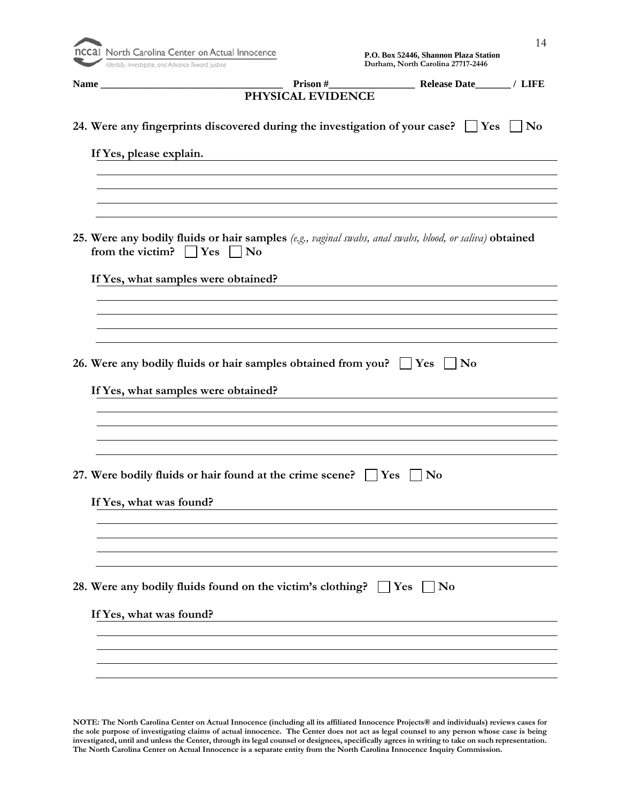

|                                       | PHYSICAL EVIDENCE                                                                                       |                |
|---------------------------------------|---------------------------------------------------------------------------------------------------------|----------------|
|                                       | 24. Were any fingerprints discovered during the investigation of your case? $\Box$ Yes $\Box$ No        |                |
| If Yes, please explain.               |                                                                                                         |                |
|                                       |                                                                                                         |                |
|                                       |                                                                                                         |                |
| from the victim? $\Box$ Yes $\Box$ No | 25. Were any bodily fluids or hair samples (e.g., vaginal swabs, anal swabs, blood, or saliva) obtained |                |
|                                       | If Yes, what samples were obtained?                                                                     |                |
|                                       |                                                                                                         |                |
|                                       |                                                                                                         |                |
|                                       | 26. Were any bodily fluids or hair samples obtained from you? $\Box$ Yes $\Box$ No                      |                |
|                                       | If Yes, what samples were obtained?                                                                     |                |
|                                       |                                                                                                         |                |
|                                       |                                                                                                         |                |
|                                       | 27. Were bodily fluids or hair found at the crime scene? $\Box$ Yes $\Box$ No                           |                |
|                                       |                                                                                                         |                |
| If Yes, what was found?               |                                                                                                         |                |
|                                       |                                                                                                         |                |
|                                       |                                                                                                         |                |
|                                       | 28. Were any bodily fluids found on the victim's clothing? $\Box$ Yes                                   | N <sub>0</sub> |
| If Yes, what was found?               |                                                                                                         |                |
|                                       |                                                                                                         |                |
|                                       |                                                                                                         |                |
|                                       |                                                                                                         |                |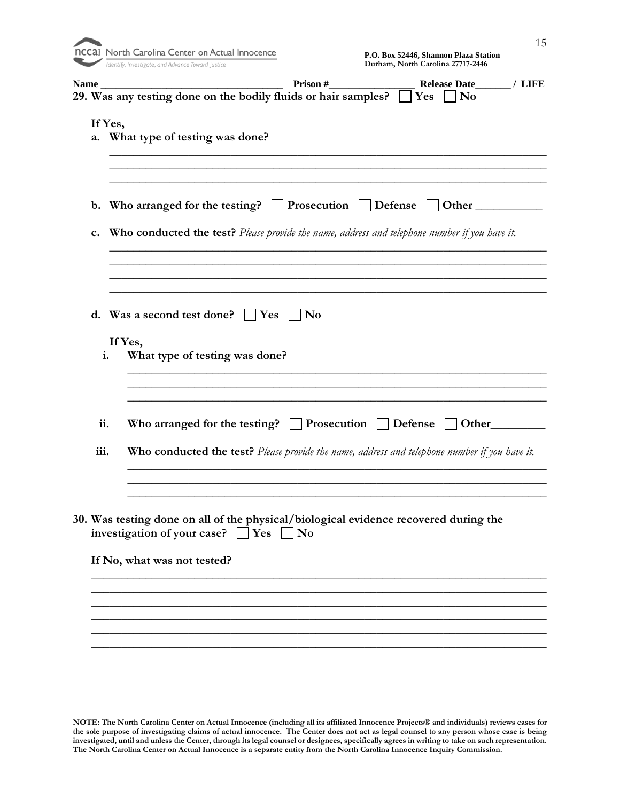| <b>nCCaI</b> North Carolina Center on Actual I    |
|---------------------------------------------------|
| Identify, Investigate, and Advance Toward Justice |

| <b>Name</b> | Prison#<br>Release Date<br>$\prime$ LIFE                                                                                                                                   |
|-------------|----------------------------------------------------------------------------------------------------------------------------------------------------------------------------|
|             | 29. Was any testing done on the bodily fluids or hair samples?<br>Yes<br>N <sub>0</sub>                                                                                    |
| a.          | If Yes,<br>What type of testing was done?                                                                                                                                  |
| c.          | b. Who arranged for the testing? $\Box$ Prosecution $\Box$ Defense<br><b>Who conducted the test?</b> Please provide the name, address and telephone number if you have it. |
|             |                                                                                                                                                                            |
|             |                                                                                                                                                                            |
|             | d. Was a second test done? $\Box$ Yes<br>No<br>If Yes,<br>What type of testing was done?<br>i.                                                                             |
| ii.         | Who arranged for the testing? $\Box$ Prosecution $\Box$ Defense<br>Other                                                                                                   |
| iii.        | Who conducted the test? Please provide the name, address and telephone number if you have it.                                                                              |
|             |                                                                                                                                                                            |
|             | 30. Was testing done on all of the physical/biological evidence recovered during the<br>investigation of your case? $\Box$ Yes [<br>$\overline{\mathbf{N}}$                |
|             | If No, what was not tested?                                                                                                                                                |
|             |                                                                                                                                                                            |
|             |                                                                                                                                                                            |
|             |                                                                                                                                                                            |

**\_\_\_\_\_\_\_\_\_\_\_\_\_\_\_\_\_\_\_\_\_\_\_\_\_\_\_\_\_\_\_\_\_\_\_\_\_\_\_\_\_\_\_\_\_\_\_\_\_\_\_\_\_\_\_\_\_\_\_\_\_\_\_\_\_\_\_\_\_\_\_\_\_\_\_**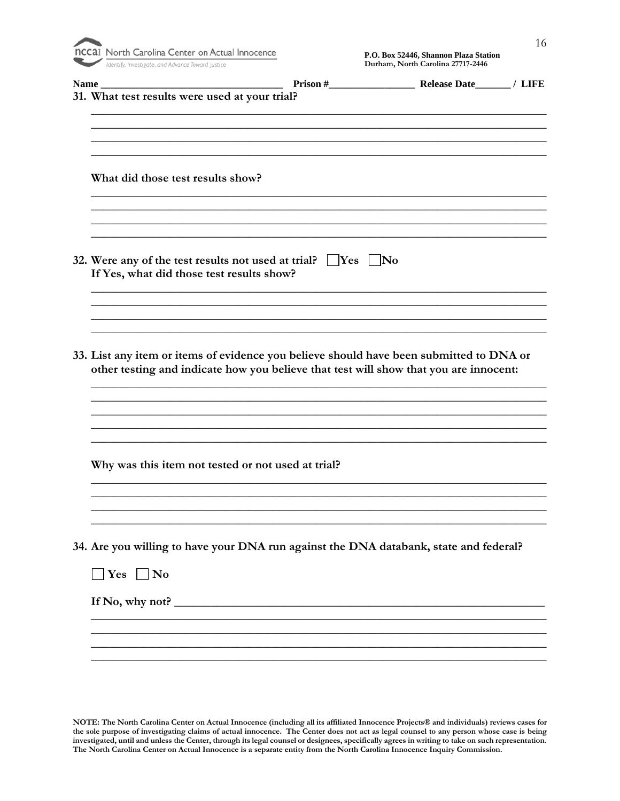| <b>DCCAL</b> North Care |                    |  |
|-------------------------|--------------------|--|
|                         | Idantifu Invaction |  |

| Name_                                              |                                                                                                                                                                                  |  |
|----------------------------------------------------|----------------------------------------------------------------------------------------------------------------------------------------------------------------------------------|--|
| 31. What test results were used at your trial?     |                                                                                                                                                                                  |  |
|                                                    |                                                                                                                                                                                  |  |
|                                                    |                                                                                                                                                                                  |  |
| What did those test results show?                  |                                                                                                                                                                                  |  |
|                                                    |                                                                                                                                                                                  |  |
| If Yes, what did those test results show?          | 32. Were any of the test results not used at trial? $\Box$ Yes $\Box$ No                                                                                                         |  |
|                                                    |                                                                                                                                                                                  |  |
|                                                    |                                                                                                                                                                                  |  |
|                                                    | 33. List any item or items of evidence you believe should have been submitted to DNA or<br>other testing and indicate how you believe that test will show that you are innocent: |  |
|                                                    |                                                                                                                                                                                  |  |
|                                                    |                                                                                                                                                                                  |  |
|                                                    |                                                                                                                                                                                  |  |
| Why was this item not tested or not used at trial? |                                                                                                                                                                                  |  |
|                                                    |                                                                                                                                                                                  |  |
|                                                    |                                                                                                                                                                                  |  |
|                                                    | 34. Are you willing to have your DNA run against the DNA databank, state and federal?                                                                                            |  |
| $\Box$ Yes $\Box$ No                               |                                                                                                                                                                                  |  |
|                                                    | If No, why not?                                                                                                                                                                  |  |
|                                                    |                                                                                                                                                                                  |  |
|                                                    |                                                                                                                                                                                  |  |
|                                                    |                                                                                                                                                                                  |  |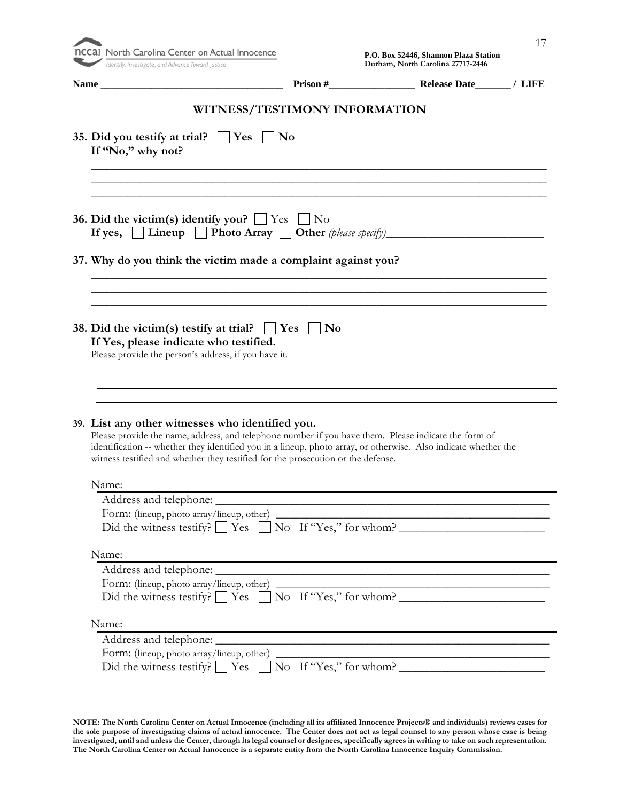| Identify, Investigate, and Advance Toward Justice                                                                                                                                                                                                                                                           |                  | Durham, North Carolina 27717-2446 |  |
|-------------------------------------------------------------------------------------------------------------------------------------------------------------------------------------------------------------------------------------------------------------------------------------------------------------|------------------|-----------------------------------|--|
|                                                                                                                                                                                                                                                                                                             |                  |                                   |  |
| WITNESS/TESTIMONY INFORMATION                                                                                                                                                                                                                                                                               |                  |                                   |  |
| 35. Did you testify at trial? $\Box$ Yes<br>If "No," why not?                                                                                                                                                                                                                                               | $\perp$ $\infty$ |                                   |  |
|                                                                                                                                                                                                                                                                                                             |                  |                                   |  |
| 36. Did the victim(s) identify you? $\Box$ Yes $\Box$ No<br>If yes, $\Box$ Lineup $\Box$ Photo Array $\Box$ Other (please specify)                                                                                                                                                                          |                  |                                   |  |
| 37. Why do you think the victim made a complaint against you?                                                                                                                                                                                                                                               |                  |                                   |  |
|                                                                                                                                                                                                                                                                                                             |                  |                                   |  |
| 38. Did the victim(s) testify at trial? $\Box$ Yes $\Box$ No<br>If Yes, please indicate who testified.<br>Please provide the person's address, if you have it.                                                                                                                                              |                  |                                   |  |
|                                                                                                                                                                                                                                                                                                             |                  |                                   |  |
| Please provide the name, address, and telephone number if you have them. Please indicate the form of<br>identification -- whether they identified you in a lineup, photo array, or otherwise. Also indicate whether the<br>witness testified and whether they testified for the prosecution or the defense. |                  |                                   |  |
| Name:                                                                                                                                                                                                                                                                                                       |                  |                                   |  |
| 39. List any other witnesses who identified you.                                                                                                                                                                                                                                                            |                  |                                   |  |
| Did the witness testify? $\Box$ Yes $\Box$ No If "Yes," for whom?                                                                                                                                                                                                                                           |                  |                                   |  |
| Name:                                                                                                                                                                                                                                                                                                       |                  |                                   |  |
|                                                                                                                                                                                                                                                                                                             |                  |                                   |  |
| Did the witness testify? $\Box$ Yes $\Box$ No If "Yes," for whom?                                                                                                                                                                                                                                           |                  |                                   |  |
| Name:                                                                                                                                                                                                                                                                                                       |                  |                                   |  |
|                                                                                                                                                                                                                                                                                                             |                  |                                   |  |
| Form: (lineup, photo array/lineup, other)<br>Did the witness testify? $\Box$ Yes $\Box$ No If "Yes," for whom?                                                                                                                                                                                              |                  |                                   |  |

**investigated, until and unless the Center, through its legal counsel or designees, specifically agrees in writing to take on such representation. The North Carolina Center on Actual Innocence is a separate entity from the North Carolina Innocence Inquiry Commission.**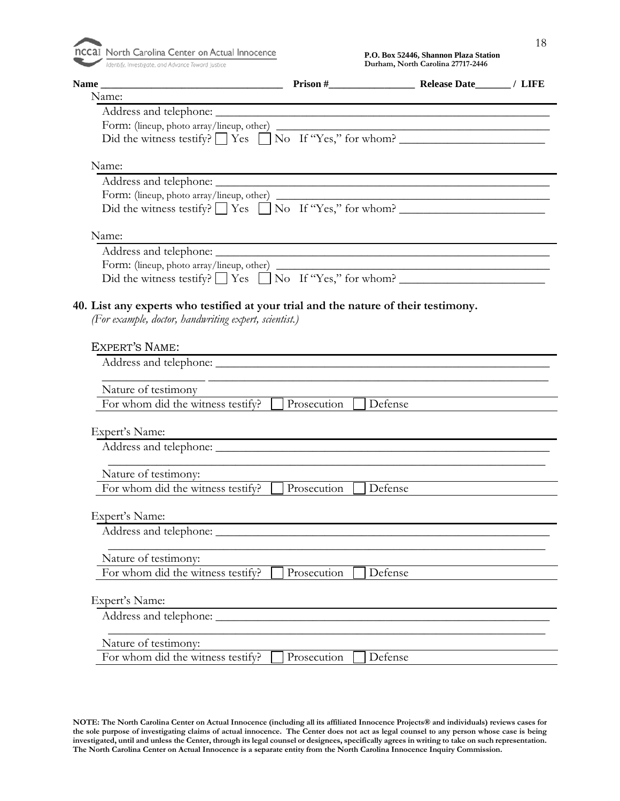| $\sim$ |  |
|--------|--|
|        |  |

| Name<br><u> 1980 - Johann Barn, mars ar breithinn ar chomhair an t-</u>                                                                      |                                                                                                                       |                |  |
|----------------------------------------------------------------------------------------------------------------------------------------------|-----------------------------------------------------------------------------------------------------------------------|----------------|--|
| Name:                                                                                                                                        |                                                                                                                       |                |  |
|                                                                                                                                              | <u> 1989 - Johann Stoff, deutscher Stoff, der Stoff, der Stoff, der Stoff, der Stoff, der Stoff, der Stoff, der S</u> |                |  |
|                                                                                                                                              |                                                                                                                       |                |  |
| Did the witness testify? $\Box$ Yes $\Box$ No If "Yes," for whom?                                                                            |                                                                                                                       |                |  |
| Name:                                                                                                                                        |                                                                                                                       |                |  |
| Address and telephone:                                                                                                                       | <u> 1989 - Andrea Stadt Britain, amerikansk politiker (d. 1989)</u>                                                   |                |  |
|                                                                                                                                              |                                                                                                                       |                |  |
| Did the witness testify? $\Box$ Yes $\Box$ No If "Yes," for whom?                                                                            |                                                                                                                       |                |  |
| Name:                                                                                                                                        |                                                                                                                       |                |  |
|                                                                                                                                              |                                                                                                                       |                |  |
|                                                                                                                                              |                                                                                                                       |                |  |
| Did the witness testify? $\Box$ Yes $\Box$ No If "Yes," for whom?                                                                            |                                                                                                                       |                |  |
| 40. List any experts who testified at your trial and the nature of their testimony.<br>(For example, doctor, handwriting expert, scientist.) |                                                                                                                       |                |  |
| <b>EXPERT'S NAME:</b>                                                                                                                        | <u> 1989 - Jan Sarajević, politički politički politički karaljski politički karaljski politički politički politič</u> |                |  |
|                                                                                                                                              |                                                                                                                       |                |  |
| Nature of testimony                                                                                                                          |                                                                                                                       |                |  |
| For whom did the witness testify? $\Box$ Prosecution                                                                                         |                                                                                                                       | $\Box$ Defense |  |
| Expert's Name:                                                                                                                               |                                                                                                                       |                |  |
|                                                                                                                                              | and the control of the control of the control of the control of the control of the control of the control of the      |                |  |
|                                                                                                                                              |                                                                                                                       |                |  |
| Nature of testimony:                                                                                                                         |                                                                                                                       |                |  |
| For whom did the witness testify?                                                                                                            | Prosecution                                                                                                           | Defense        |  |
|                                                                                                                                              |                                                                                                                       |                |  |
| Expert's Name:                                                                                                                               |                                                                                                                       |                |  |
| Address and telephone: ________                                                                                                              |                                                                                                                       |                |  |
| Nature of testimony:                                                                                                                         |                                                                                                                       |                |  |
| For whom did the witness testify?                                                                                                            | Prosecution                                                                                                           | Defense        |  |
|                                                                                                                                              |                                                                                                                       |                |  |
| Expert's Name:                                                                                                                               |                                                                                                                       |                |  |
| Address and telephone: _____                                                                                                                 |                                                                                                                       |                |  |
| Nature of testimony:                                                                                                                         |                                                                                                                       |                |  |
| For whom did the witness testify?                                                                                                            | Prosecution                                                                                                           | Defense        |  |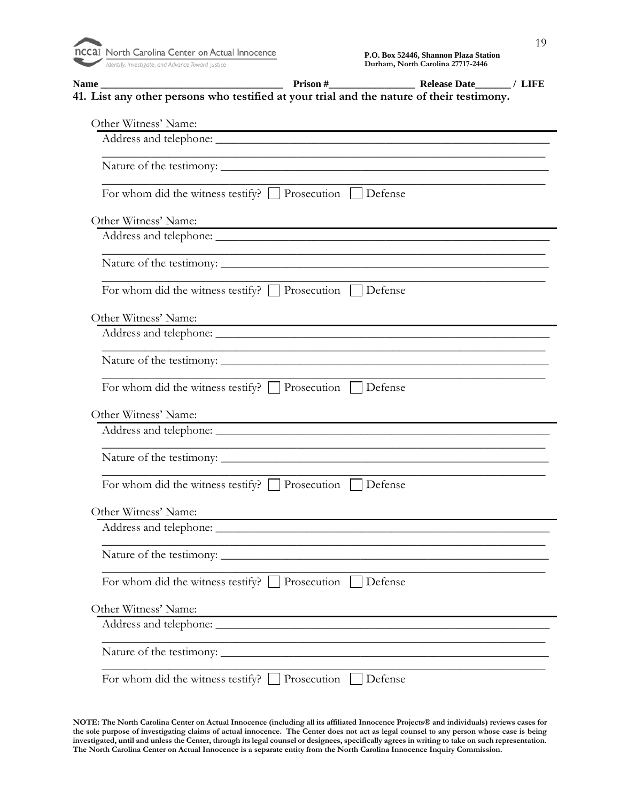Identify, Investigate, and Advance Toward Justice

**Name \_\_\_\_\_\_\_\_\_\_\_\_\_\_\_\_\_\_\_\_\_\_\_\_\_\_\_\_\_\_\_\_\_\_\_\_ Prison #\_\_\_\_\_\_\_\_\_\_\_\_\_\_\_\_\_ Release Date\_\_\_\_\_\_\_ / LIFE 41. List any other persons who testified at your trial and the nature of their testimony.** Other Witness' Name: Address and telephone: \_\_\_\_\_\_\_\_\_\_\_\_\_\_\_\_\_\_\_\_\_\_\_\_\_\_\_\_\_\_\_\_\_\_\_\_\_\_\_\_\_\_\_\_\_\_\_\_\_\_\_\_\_\_\_ Nature of the testimony: \_\_\_\_\_\_\_\_\_\_\_\_\_\_\_\_\_\_\_\_\_\_\_\_\_\_\_\_\_\_\_\_\_\_\_\_\_\_\_\_\_\_\_\_\_\_\_\_\_\_\_\_\_\_ \_\_\_\_\_\_\_\_\_\_\_\_\_\_\_\_\_\_\_\_\_\_\_\_\_\_\_\_\_\_\_\_\_\_\_\_\_\_\_\_\_\_\_\_\_\_\_\_\_\_\_\_\_\_\_\_\_\_\_\_\_\_\_\_\_\_\_\_\_\_\_\_\_ For whom did the witness testify?  $\Box$  Prosecution  $\Box$  Defense Other Witness' Name: Address and telephone: \_\_\_\_\_\_\_\_\_\_\_\_\_\_\_\_\_\_\_\_\_\_\_\_\_\_\_\_\_\_\_\_\_\_\_\_\_\_\_\_\_\_\_\_\_\_\_\_\_\_\_\_\_\_\_ Nature of the testimony: \_\_\_\_\_\_\_\_\_\_\_\_\_\_\_\_\_\_\_\_\_\_\_\_\_\_\_\_\_\_\_\_\_\_\_\_\_\_\_\_\_\_\_\_\_\_\_\_\_\_\_\_\_\_ \_\_\_\_\_\_\_\_\_\_\_\_\_\_\_\_\_\_\_\_\_\_\_\_\_\_\_\_\_\_\_\_\_\_\_\_\_\_\_\_\_\_\_\_\_\_\_\_\_\_\_\_\_\_\_\_\_\_\_\_\_\_\_\_\_\_\_\_\_\_\_\_\_ For whom did the witness testify?  $\Box$  Prosecution  $\Box$  Defense Other Witness' Name: Address and telephone: \_\_\_\_\_\_\_\_\_\_\_\_\_\_\_\_\_\_\_\_\_\_\_\_\_\_\_\_\_\_\_\_\_\_\_\_\_\_\_\_\_\_\_\_\_\_\_\_\_\_\_\_\_\_\_ \_\_\_\_\_\_\_\_\_\_\_\_\_\_\_\_\_\_\_\_\_\_\_\_\_\_\_\_\_\_\_\_\_\_\_\_\_\_\_\_\_\_\_\_\_\_\_\_\_\_\_\_\_\_\_\_\_\_\_\_\_\_\_\_\_\_\_\_\_\_\_\_\_ Nature of the testimony: \_\_\_\_\_\_\_\_\_\_\_\_\_\_\_\_\_\_\_\_\_\_\_\_\_\_\_\_\_\_\_\_\_\_\_\_\_\_\_\_\_\_\_\_\_\_\_\_\_\_\_\_\_\_ \_\_\_\_\_\_\_\_\_\_\_\_\_\_\_\_\_\_\_\_\_\_\_\_\_\_\_\_\_\_\_\_\_\_\_\_\_\_\_\_\_\_\_\_\_\_\_\_\_\_\_\_\_\_\_\_\_\_\_\_\_\_\_\_\_\_\_\_\_\_\_\_\_ For whom did the witness testify?  $\Box$  Prosecution  $\Box$  Defense Other Witness' Name: Address and telephone: \_\_\_\_\_\_\_\_\_\_\_\_\_\_\_\_\_\_\_\_\_\_\_\_\_\_\_\_\_\_\_\_\_\_\_\_\_\_\_\_\_\_\_\_\_\_\_\_\_\_\_\_\_\_\_ Nature of the testimony: \_\_\_\_\_\_\_\_\_\_\_\_\_\_\_\_\_\_\_\_\_\_\_\_\_\_\_\_\_\_\_\_\_\_\_\_\_\_\_\_\_\_\_\_\_\_\_\_\_\_\_\_\_\_\_\_\_\_\_\_\_\_\_\_\_\_\_\_\_\_\_\_\_ For whom did the witness testify?  $\Box$  Prosecution  $\Box$  Defense Other Witness' Name: Address and telephone: \_\_\_\_\_\_\_\_\_\_\_\_\_\_\_\_\_\_\_\_\_\_\_\_\_\_\_\_\_\_\_\_\_\_\_\_\_\_\_\_\_\_\_\_\_\_\_\_\_\_\_\_\_\_\_ \_\_\_\_\_\_\_\_\_\_\_\_\_\_\_\_\_\_\_\_\_\_\_\_\_\_\_\_\_\_\_\_\_\_\_\_\_\_\_\_\_\_\_\_\_\_\_\_\_\_\_\_\_\_\_\_\_\_\_\_\_\_\_\_\_\_\_\_\_\_\_\_\_ Nature of the testimony: \_\_\_\_\_\_\_\_\_\_\_\_\_\_\_\_\_\_\_\_\_\_\_\_\_\_\_\_\_\_\_\_\_\_\_\_\_\_\_\_\_\_\_\_\_\_\_\_\_\_\_\_\_\_ \_\_\_\_\_\_\_\_\_\_\_\_\_\_\_\_\_\_\_\_\_\_\_\_\_\_\_\_\_\_\_\_\_\_\_\_\_\_\_\_\_\_\_\_\_\_\_\_\_\_\_\_\_\_\_\_\_\_\_\_\_\_\_\_\_\_\_\_\_\_\_\_\_ For whom did the witness testify?  $\Box$  Prosecution  $\Box$  Defense Other Witness' Name: Address and telephone: \_\_\_\_\_\_\_\_\_\_\_\_\_\_\_\_\_\_\_\_\_\_\_\_\_\_\_\_\_\_\_\_\_\_\_\_\_\_\_\_\_\_\_\_\_\_\_\_\_\_\_\_\_\_\_\_\_\_\_\_\_\_\_\_\_\_\_\_\_\_\_\_\_ Nature of the testimony: \_\_\_\_\_\_\_\_\_\_\_\_\_\_\_\_\_\_\_\_\_\_\_\_\_\_\_\_\_\_\_\_\_\_\_\_\_\_\_\_\_\_\_\_\_\_\_\_\_\_\_\_\_\_ \_\_\_\_\_\_\_\_\_\_\_\_\_\_\_\_\_\_\_\_\_\_\_\_\_\_\_\_\_\_\_\_\_\_\_\_\_\_\_\_\_\_\_\_\_\_\_\_\_\_\_\_\_\_\_\_\_\_\_\_\_\_\_\_\_\_\_\_\_\_\_\_\_ For whom did the witness testify?  $\Box$  Prosecution  $\Box$  Defense